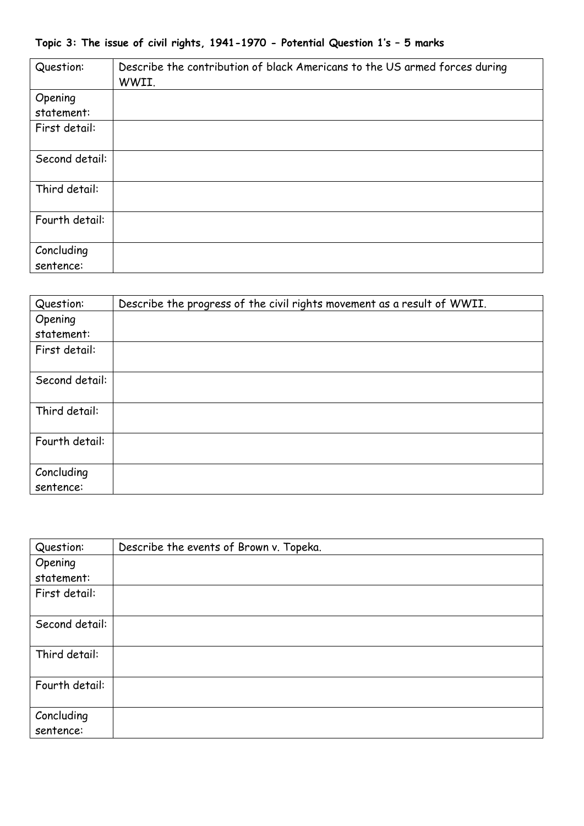| Question:               | Describe the contribution of black Americans to the US armed forces during<br>WWII. |
|-------------------------|-------------------------------------------------------------------------------------|
| Opening                 |                                                                                     |
| statement:              |                                                                                     |
| First detail:           |                                                                                     |
| Second detail:          |                                                                                     |
| Third detail:           |                                                                                     |
| Fourth detail:          |                                                                                     |
| Concluding<br>sentence: |                                                                                     |

| Question:               | Describe the progress of the civil rights movement as a result of WWII. |
|-------------------------|-------------------------------------------------------------------------|
| Opening                 |                                                                         |
| statement:              |                                                                         |
| First detail:           |                                                                         |
| Second detail:          |                                                                         |
| Third detail:           |                                                                         |
| Fourth detail:          |                                                                         |
| Concluding<br>sentence: |                                                                         |

| Question:               | Describe the events of Brown v. Topeka. |
|-------------------------|-----------------------------------------|
| Opening                 |                                         |
| statement:              |                                         |
| First detail:           |                                         |
| Second detail:          |                                         |
| Third detail:           |                                         |
| Fourth detail:          |                                         |
| Concluding<br>sentence: |                                         |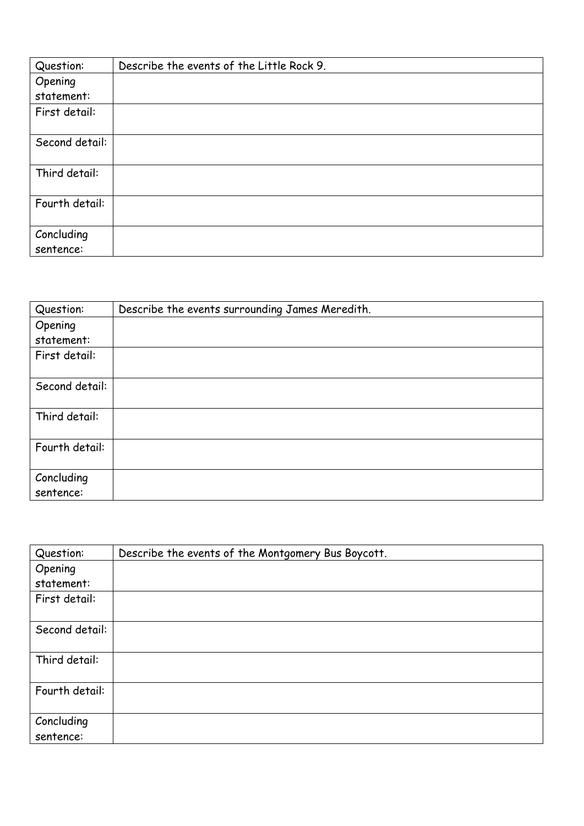| Question:               | Describe the events of the Little Rock 9. |
|-------------------------|-------------------------------------------|
| Opening                 |                                           |
| statement:              |                                           |
| First detail:           |                                           |
| Second detail:          |                                           |
| Third detail:           |                                           |
| Fourth detail:          |                                           |
| Concluding<br>sentence: |                                           |

| Question:               | Describe the events surrounding James Meredith. |
|-------------------------|-------------------------------------------------|
| Opening                 |                                                 |
| statement:              |                                                 |
| First detail:           |                                                 |
| Second detail:          |                                                 |
| Third detail:           |                                                 |
| Fourth detail:          |                                                 |
| Concluding<br>sentence: |                                                 |

| Question:               | Describe the events of the Montgomery Bus Boycott. |
|-------------------------|----------------------------------------------------|
| Opening                 |                                                    |
| statement:              |                                                    |
| First detail:           |                                                    |
| Second detail:          |                                                    |
| Third detail:           |                                                    |
| Fourth detail:          |                                                    |
| Concluding<br>sentence: |                                                    |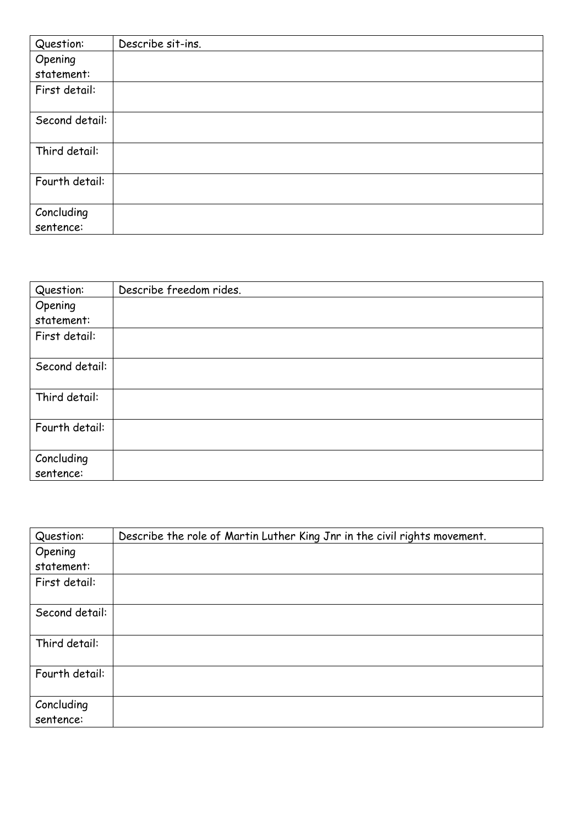| Question:      | Describe sit-ins. |
|----------------|-------------------|
| Opening        |                   |
| statement:     |                   |
| First detail:  |                   |
|                |                   |
| Second detail: |                   |
|                |                   |
| Third detail:  |                   |
| Fourth detail: |                   |
|                |                   |
| Concluding     |                   |
| sentence:      |                   |

| Question:               | Describe freedom rides. |
|-------------------------|-------------------------|
| Opening                 |                         |
| statement:              |                         |
| First detail:           |                         |
|                         |                         |
| Second detail:          |                         |
| Third detail:           |                         |
| Fourth detail:          |                         |
| Concluding<br>sentence: |                         |

| Question:               | Describe the role of Martin Luther King Jnr in the civil rights movement. |
|-------------------------|---------------------------------------------------------------------------|
| Opening                 |                                                                           |
| statement:              |                                                                           |
| First detail:           |                                                                           |
| Second detail:          |                                                                           |
| Third detail:           |                                                                           |
| Fourth detail:          |                                                                           |
| Concluding<br>sentence: |                                                                           |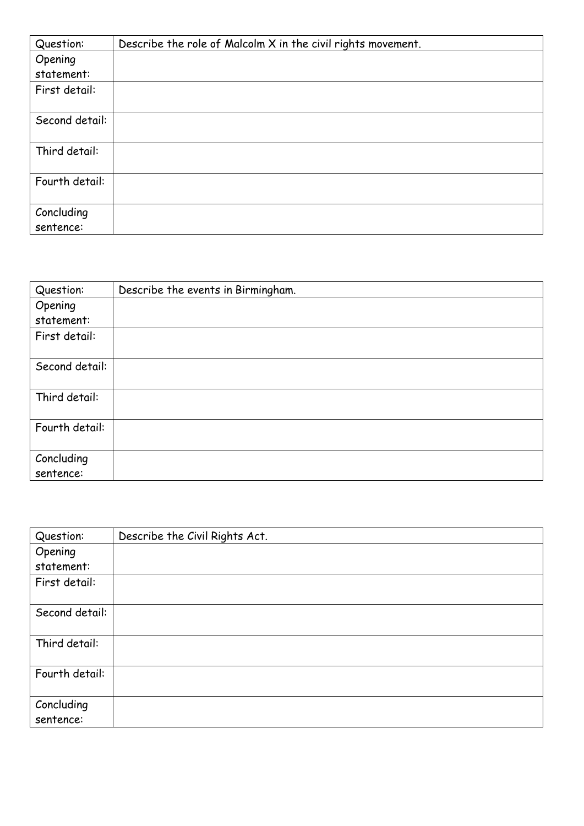| Question:               | Describe the role of Malcolm X in the civil rights movement. |
|-------------------------|--------------------------------------------------------------|
| Opening                 |                                                              |
| statement:              |                                                              |
| First detail:           |                                                              |
| Second detail:          |                                                              |
| Third detail:           |                                                              |
| Fourth detail:          |                                                              |
| Concluding<br>sentence: |                                                              |

| Question:               | Describe the events in Birmingham. |
|-------------------------|------------------------------------|
| Opening                 |                                    |
| statement:              |                                    |
| First detail:           |                                    |
| Second detail:          |                                    |
| Third detail:           |                                    |
| Fourth detail:          |                                    |
| Concluding<br>sentence: |                                    |

| Question:               | Describe the Civil Rights Act. |
|-------------------------|--------------------------------|
| Opening                 |                                |
| statement:              |                                |
| First detail:           |                                |
| Second detail:          |                                |
| Third detail:           |                                |
| Fourth detail:          |                                |
| Concluding<br>sentence: |                                |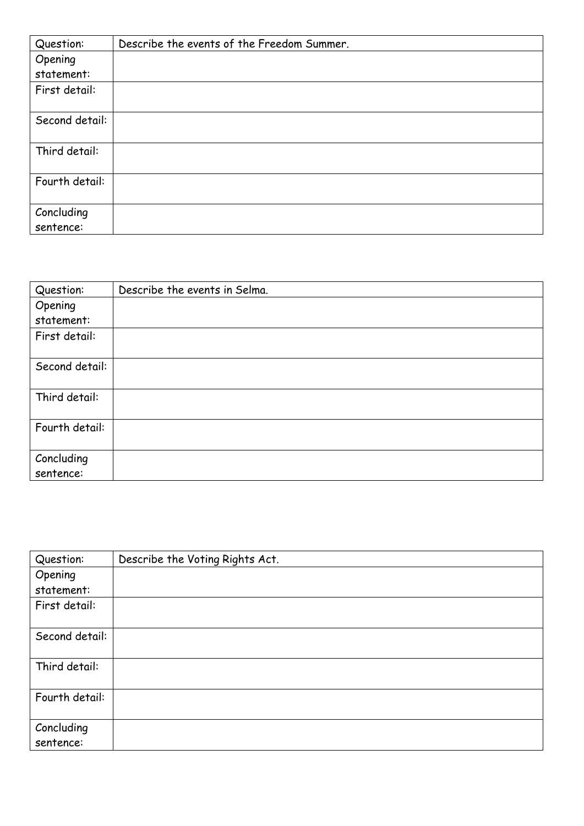| Question:               | Describe the events of the Freedom Summer. |
|-------------------------|--------------------------------------------|
| Opening                 |                                            |
| statement:              |                                            |
| First detail:           |                                            |
| Second detail:          |                                            |
| Third detail:           |                                            |
| Fourth detail:          |                                            |
| Concluding<br>sentence: |                                            |

| Question:               | Describe the events in Selma. |
|-------------------------|-------------------------------|
| Opening                 |                               |
| statement:              |                               |
| First detail:           |                               |
| Second detail:          |                               |
| Third detail:           |                               |
| Fourth detail:          |                               |
| Concluding<br>sentence: |                               |

| Question:               | Describe the Voting Rights Act. |
|-------------------------|---------------------------------|
| Opening<br>statement:   |                                 |
| First detail:           |                                 |
| Second detail:          |                                 |
| Third detail:           |                                 |
| Fourth detail:          |                                 |
| Concluding<br>sentence: |                                 |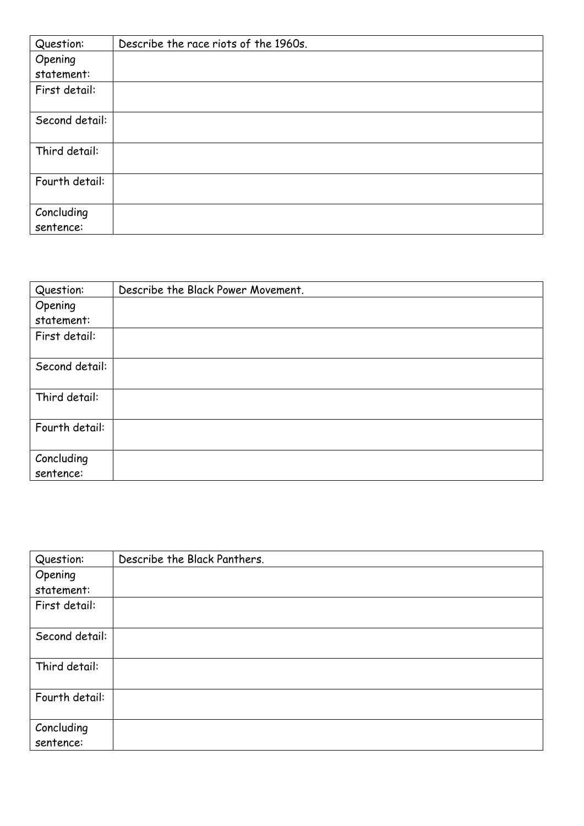| Question:               | Describe the race riots of the 1960s. |
|-------------------------|---------------------------------------|
| Opening                 |                                       |
| statement:              |                                       |
| First detail:           |                                       |
| Second detail:          |                                       |
| Third detail:           |                                       |
| Fourth detail:          |                                       |
| Concluding<br>sentence: |                                       |

| Question:               | Describe the Black Power Movement. |
|-------------------------|------------------------------------|
| Opening                 |                                    |
| statement:              |                                    |
| First detail:           |                                    |
| Second detail:          |                                    |
| Third detail:           |                                    |
| Fourth detail:          |                                    |
| Concluding<br>sentence: |                                    |

| Question:               | Describe the Black Panthers. |
|-------------------------|------------------------------|
| Opening<br>statement:   |                              |
| First detail:           |                              |
| Second detail:          |                              |
| Third detail:           |                              |
| Fourth detail:          |                              |
| Concluding<br>sentence: |                              |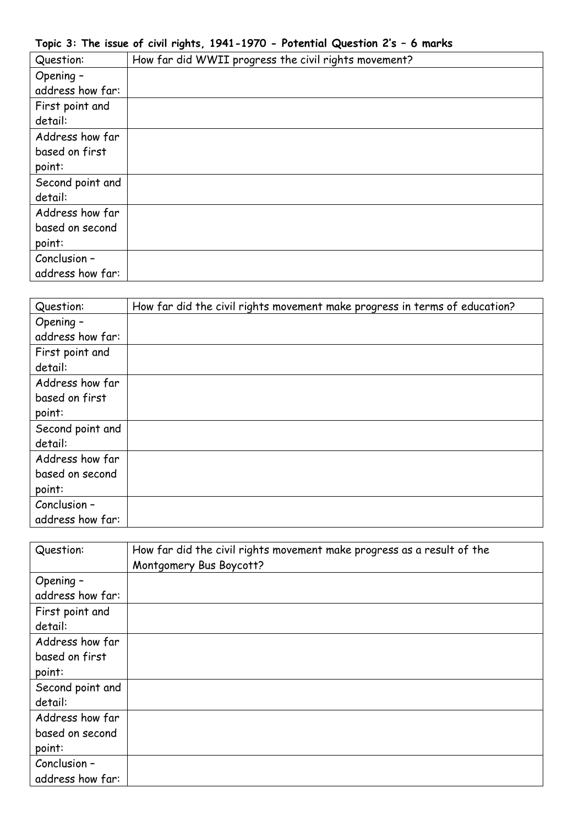|  |  |  |  | Topic 3: The issue of civil rights, 1941-1970 - Potential Question 2's - 6 marks |  |  |  |  |
|--|--|--|--|----------------------------------------------------------------------------------|--|--|--|--|
|--|--|--|--|----------------------------------------------------------------------------------|--|--|--|--|

| Question:        | How far did WWII progress the civil rights movement? |
|------------------|------------------------------------------------------|
| Opening -        |                                                      |
| address how far: |                                                      |
| First point and  |                                                      |
| detail:          |                                                      |
| Address how far  |                                                      |
| based on first   |                                                      |
| point:           |                                                      |
| Second point and |                                                      |
| detail:          |                                                      |
| Address how far  |                                                      |
| based on second  |                                                      |
| point:           |                                                      |
| Conclusion -     |                                                      |
| address how far: |                                                      |

| Question:        | How far did the civil rights movement make progress in terms of education? |
|------------------|----------------------------------------------------------------------------|
| Opening -        |                                                                            |
| address how far: |                                                                            |
| First point and  |                                                                            |
| detail:          |                                                                            |
| Address how far  |                                                                            |
| based on first   |                                                                            |
| point:           |                                                                            |
| Second point and |                                                                            |
| detail:          |                                                                            |
| Address how far  |                                                                            |
| based on second  |                                                                            |
| point:           |                                                                            |
| Conclusion -     |                                                                            |
| address how far: |                                                                            |

| Question:        | How far did the civil rights movement make progress as a result of the<br>Montgomery Bus Boycott? |
|------------------|---------------------------------------------------------------------------------------------------|
| Opening -        |                                                                                                   |
| address how far: |                                                                                                   |
| First point and  |                                                                                                   |
| detail:          |                                                                                                   |
| Address how far  |                                                                                                   |
| based on first   |                                                                                                   |
| point:           |                                                                                                   |
| Second point and |                                                                                                   |
| detail:          |                                                                                                   |
| Address how far  |                                                                                                   |
| based on second  |                                                                                                   |
| point:           |                                                                                                   |
| Conclusion -     |                                                                                                   |
| address how far: |                                                                                                   |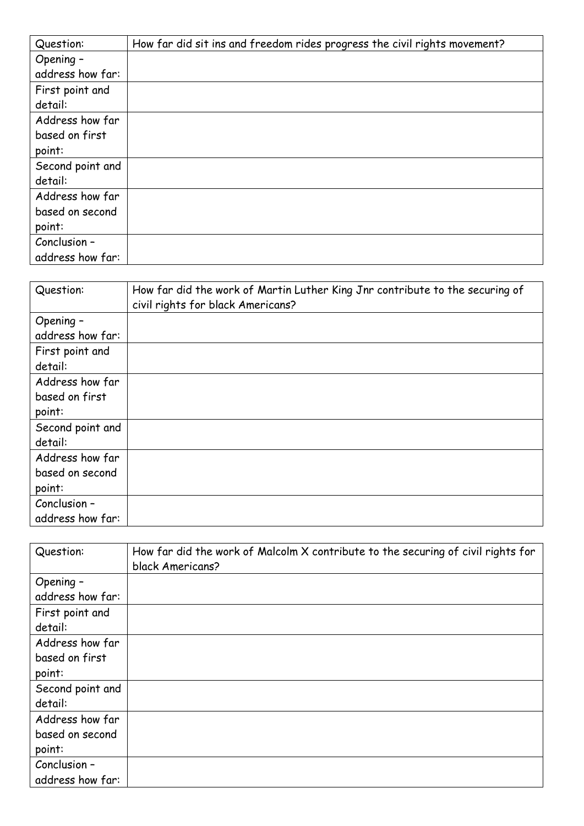| Question:        | How far did sit ins and freedom rides progress the civil rights movement? |
|------------------|---------------------------------------------------------------------------|
| Opening -        |                                                                           |
| address how far: |                                                                           |
| First point and  |                                                                           |
| detail:          |                                                                           |
| Address how far  |                                                                           |
| based on first   |                                                                           |
| point:           |                                                                           |
| Second point and |                                                                           |
| detail:          |                                                                           |
| Address how far  |                                                                           |
| based on second  |                                                                           |
| point:           |                                                                           |
| Conclusion -     |                                                                           |
| address how far: |                                                                           |

| Question:        | How far did the work of Martin Luther King Jnr contribute to the securing of<br>civil rights for black Americans? |
|------------------|-------------------------------------------------------------------------------------------------------------------|
| Opening -        |                                                                                                                   |
| address how far: |                                                                                                                   |
| First point and  |                                                                                                                   |
| detail:          |                                                                                                                   |
| Address how far  |                                                                                                                   |
| based on first   |                                                                                                                   |
| point:           |                                                                                                                   |
| Second point and |                                                                                                                   |
| detail:          |                                                                                                                   |
| Address how far  |                                                                                                                   |
| based on second  |                                                                                                                   |
| point:           |                                                                                                                   |
| Conclusion -     |                                                                                                                   |
| address how far: |                                                                                                                   |

| Question:        | How far did the work of Malcolm X contribute to the securing of civil rights for<br>black Americans? |
|------------------|------------------------------------------------------------------------------------------------------|
| Opening -        |                                                                                                      |
| address how far: |                                                                                                      |
| First point and  |                                                                                                      |
| detail:          |                                                                                                      |
| Address how far  |                                                                                                      |
| based on first   |                                                                                                      |
| point:           |                                                                                                      |
| Second point and |                                                                                                      |
| detail:          |                                                                                                      |
| Address how far  |                                                                                                      |
| based on second  |                                                                                                      |
| point:           |                                                                                                      |
| Conclusion -     |                                                                                                      |
| address how far: |                                                                                                      |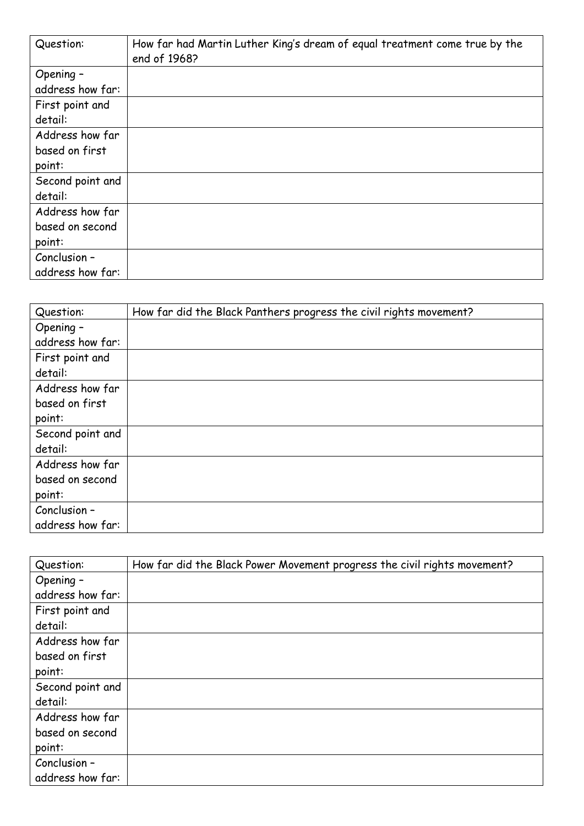| Question:        | How far had Martin Luther King's dream of equal treatment come true by the<br>end of 1968? |
|------------------|--------------------------------------------------------------------------------------------|
| Opening -        |                                                                                            |
| address how far: |                                                                                            |
| First point and  |                                                                                            |
| detail:          |                                                                                            |
| Address how far  |                                                                                            |
| based on first   |                                                                                            |
| point:           |                                                                                            |
| Second point and |                                                                                            |
| detail:          |                                                                                            |
| Address how far  |                                                                                            |
| based on second  |                                                                                            |
| point:           |                                                                                            |
| Conclusion -     |                                                                                            |
| address how far: |                                                                                            |

| Question:        | How far did the Black Panthers progress the civil rights movement? |
|------------------|--------------------------------------------------------------------|
| Opening -        |                                                                    |
| address how far: |                                                                    |
| First point and  |                                                                    |
| detail:          |                                                                    |
| Address how far  |                                                                    |
| based on first   |                                                                    |
| point:           |                                                                    |
| Second point and |                                                                    |
| detail:          |                                                                    |
| Address how far  |                                                                    |
| based on second  |                                                                    |
| point:           |                                                                    |
| Conclusion -     |                                                                    |
| address how far: |                                                                    |

| Question:        | How far did the Black Power Movement progress the civil rights movement? |
|------------------|--------------------------------------------------------------------------|
| Opening -        |                                                                          |
| address how far: |                                                                          |
| First point and  |                                                                          |
| detail:          |                                                                          |
| Address how far  |                                                                          |
| based on first   |                                                                          |
| point:           |                                                                          |
| Second point and |                                                                          |
| detail:          |                                                                          |
| Address how far  |                                                                          |
| based on second  |                                                                          |
| point:           |                                                                          |
| Conclusion -     |                                                                          |
| address how far: |                                                                          |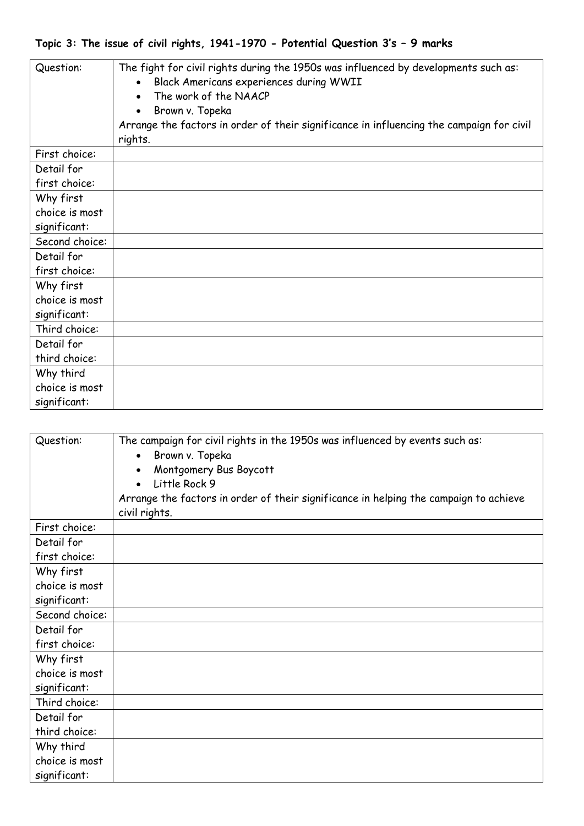## **Topic 3: The issue of civil rights, 1941-1970 - Potential Question 3's – 9 marks**

| Question:      | The fight for civil rights during the 1950s was influenced by developments such as:<br>Black Americans experiences during WWII<br>The work of the NAACP<br>Brown v. Topeka<br>Arrange the factors in order of their significance in influencing the campaign for civil<br>rights. |
|----------------|-----------------------------------------------------------------------------------------------------------------------------------------------------------------------------------------------------------------------------------------------------------------------------------|
| First choice:  |                                                                                                                                                                                                                                                                                   |
| Detail for     |                                                                                                                                                                                                                                                                                   |
| first choice:  |                                                                                                                                                                                                                                                                                   |
| Why first      |                                                                                                                                                                                                                                                                                   |
| choice is most |                                                                                                                                                                                                                                                                                   |
| significant:   |                                                                                                                                                                                                                                                                                   |
| Second choice: |                                                                                                                                                                                                                                                                                   |
| Detail for     |                                                                                                                                                                                                                                                                                   |
| first choice:  |                                                                                                                                                                                                                                                                                   |
| Why first      |                                                                                                                                                                                                                                                                                   |
| choice is most |                                                                                                                                                                                                                                                                                   |
| significant:   |                                                                                                                                                                                                                                                                                   |
| Third choice:  |                                                                                                                                                                                                                                                                                   |
| Detail for     |                                                                                                                                                                                                                                                                                   |
| third choice:  |                                                                                                                                                                                                                                                                                   |
| Why third      |                                                                                                                                                                                                                                                                                   |
| choice is most |                                                                                                                                                                                                                                                                                   |
| significant:   |                                                                                                                                                                                                                                                                                   |

| Question:      | The campaign for civil rights in the 1950s was influenced by events such as:<br>Brown v. Topeka<br>Montgomery Bus Boycott<br>Little Rock 9<br>Arrange the factors in order of their significance in helping the campaign to achieve<br>civil rights. |
|----------------|------------------------------------------------------------------------------------------------------------------------------------------------------------------------------------------------------------------------------------------------------|
| First choice:  |                                                                                                                                                                                                                                                      |
| Detail for     |                                                                                                                                                                                                                                                      |
| first choice:  |                                                                                                                                                                                                                                                      |
| Why first      |                                                                                                                                                                                                                                                      |
| choice is most |                                                                                                                                                                                                                                                      |
| significant:   |                                                                                                                                                                                                                                                      |
| Second choice: |                                                                                                                                                                                                                                                      |
| Detail for     |                                                                                                                                                                                                                                                      |
| first choice:  |                                                                                                                                                                                                                                                      |
| Why first      |                                                                                                                                                                                                                                                      |
| choice is most |                                                                                                                                                                                                                                                      |
| significant:   |                                                                                                                                                                                                                                                      |
| Third choice:  |                                                                                                                                                                                                                                                      |
| Detail for     |                                                                                                                                                                                                                                                      |
| third choice:  |                                                                                                                                                                                                                                                      |
| Why third      |                                                                                                                                                                                                                                                      |
| choice is most |                                                                                                                                                                                                                                                      |
| significant:   |                                                                                                                                                                                                                                                      |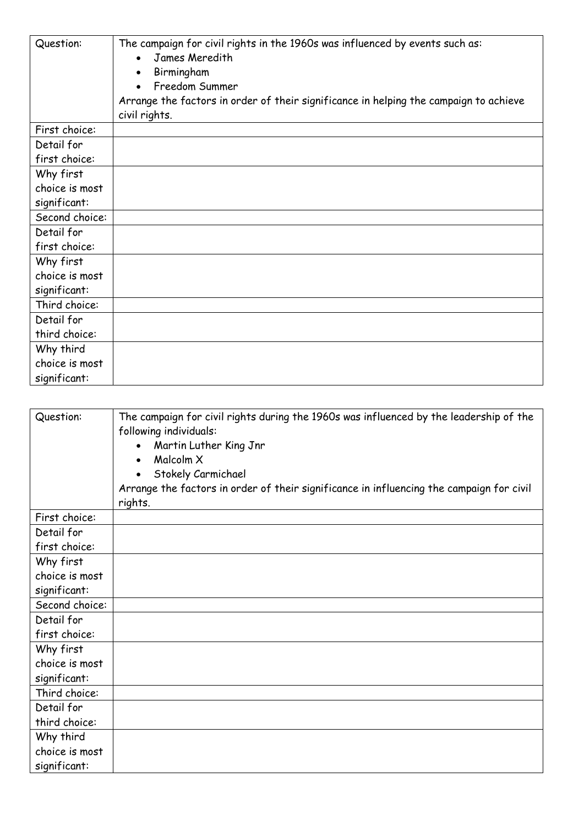| Question:      | The campaign for civil rights in the 1960s was influenced by events such as:<br>James Meredith<br>Birmingham<br>Freedom Summer<br>Arrange the factors in order of their significance in helping the campaign to achieve<br>civil rights. |
|----------------|------------------------------------------------------------------------------------------------------------------------------------------------------------------------------------------------------------------------------------------|
| First choice:  |                                                                                                                                                                                                                                          |
| Detail for     |                                                                                                                                                                                                                                          |
| first choice:  |                                                                                                                                                                                                                                          |
| Why first      |                                                                                                                                                                                                                                          |
| choice is most |                                                                                                                                                                                                                                          |
| significant:   |                                                                                                                                                                                                                                          |
| Second choice: |                                                                                                                                                                                                                                          |
| Detail for     |                                                                                                                                                                                                                                          |
| first choice:  |                                                                                                                                                                                                                                          |
| Why first      |                                                                                                                                                                                                                                          |
| choice is most |                                                                                                                                                                                                                                          |
| significant:   |                                                                                                                                                                                                                                          |
| Third choice:  |                                                                                                                                                                                                                                          |
| Detail for     |                                                                                                                                                                                                                                          |
| third choice:  |                                                                                                                                                                                                                                          |
| Why third      |                                                                                                                                                                                                                                          |
| choice is most |                                                                                                                                                                                                                                          |
| significant:   |                                                                                                                                                                                                                                          |

| Question:      | The campaign for civil rights during the 1960s was influenced by the leadership of the<br>following individuals:<br>Martin Luther King Jnr<br>Malcolm X<br>Stokely Carmichael<br>Arrange the factors in order of their significance in influencing the campaign for civil<br>rights. |
|----------------|--------------------------------------------------------------------------------------------------------------------------------------------------------------------------------------------------------------------------------------------------------------------------------------|
| First choice:  |                                                                                                                                                                                                                                                                                      |
| Detail for     |                                                                                                                                                                                                                                                                                      |
| first choice:  |                                                                                                                                                                                                                                                                                      |
| Why first      |                                                                                                                                                                                                                                                                                      |
| choice is most |                                                                                                                                                                                                                                                                                      |
| significant:   |                                                                                                                                                                                                                                                                                      |
| Second choice: |                                                                                                                                                                                                                                                                                      |
| Detail for     |                                                                                                                                                                                                                                                                                      |
| first choice:  |                                                                                                                                                                                                                                                                                      |
| Why first      |                                                                                                                                                                                                                                                                                      |
| choice is most |                                                                                                                                                                                                                                                                                      |
| significant:   |                                                                                                                                                                                                                                                                                      |
| Third choice:  |                                                                                                                                                                                                                                                                                      |
| Detail for     |                                                                                                                                                                                                                                                                                      |
| third choice:  |                                                                                                                                                                                                                                                                                      |
| Why third      |                                                                                                                                                                                                                                                                                      |
| choice is most |                                                                                                                                                                                                                                                                                      |
| significant:   |                                                                                                                                                                                                                                                                                      |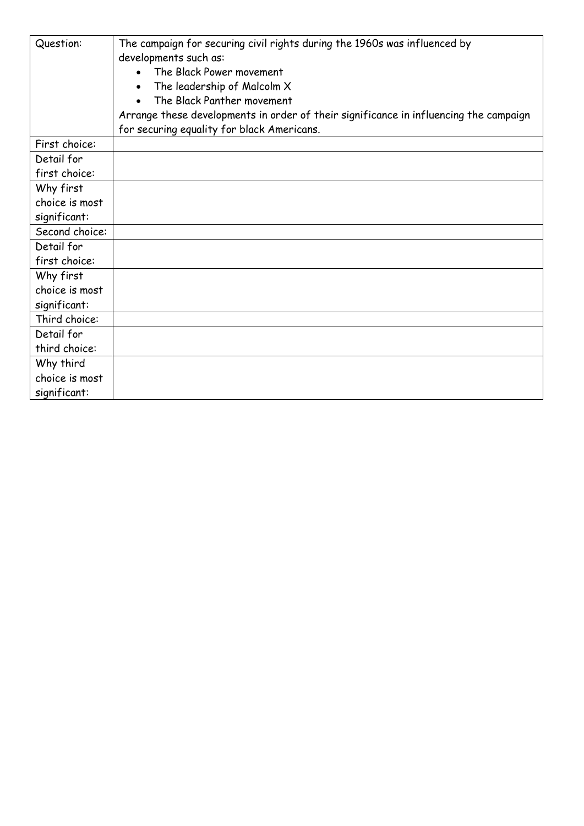| Question:      | The campaign for securing civil rights during the 1960s was influenced by<br>developments such as: |
|----------------|----------------------------------------------------------------------------------------------------|
|                | The Black Power movement                                                                           |
|                | The leadership of Malcolm X                                                                        |
|                | The Black Panther movement                                                                         |
|                | Arrange these developments in order of their significance in influencing the campaign              |
|                | for securing equality for black Americans.                                                         |
| First choice:  |                                                                                                    |
| Detail for     |                                                                                                    |
| first choice:  |                                                                                                    |
| Why first      |                                                                                                    |
| choice is most |                                                                                                    |
| significant:   |                                                                                                    |
| Second choice: |                                                                                                    |
| Detail for     |                                                                                                    |
| first choice:  |                                                                                                    |
| Why first      |                                                                                                    |
| choice is most |                                                                                                    |
| significant:   |                                                                                                    |
| Third choice:  |                                                                                                    |
| Detail for     |                                                                                                    |
| third choice:  |                                                                                                    |
| Why third      |                                                                                                    |
| choice is most |                                                                                                    |
| significant:   |                                                                                                    |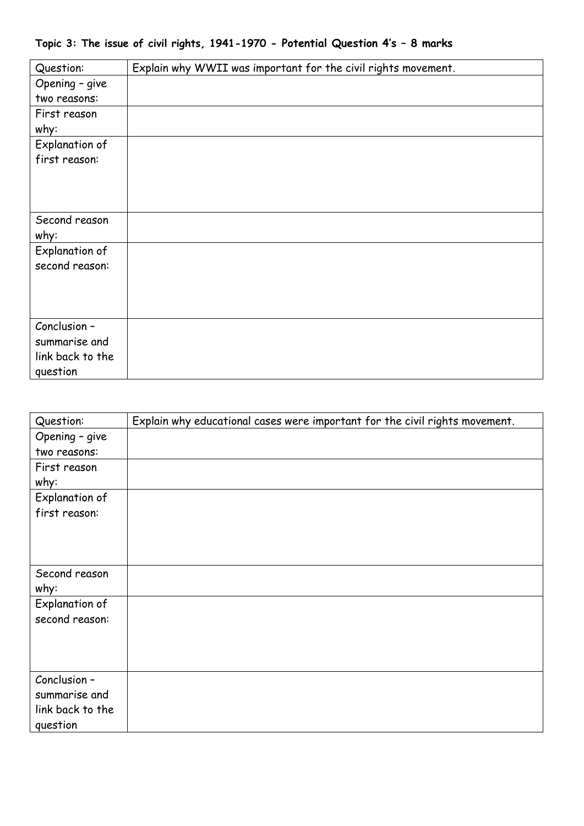| Topic 3: The issue of civil rights, 1941-1970 - Potential Question 4's - 8 marks |  |  |  |  |  |  |  |  |
|----------------------------------------------------------------------------------|--|--|--|--|--|--|--|--|
|----------------------------------------------------------------------------------|--|--|--|--|--|--|--|--|

| Question:             | Explain why WWII was important for the civil rights movement. |
|-----------------------|---------------------------------------------------------------|
| Opening - give        |                                                               |
| two reasons:          |                                                               |
| First reason          |                                                               |
| why:                  |                                                               |
| <b>Explanation of</b> |                                                               |
| first reason:         |                                                               |
|                       |                                                               |
|                       |                                                               |
|                       |                                                               |
| Second reason         |                                                               |
| why:                  |                                                               |
| Explanation of        |                                                               |
| second reason:        |                                                               |
|                       |                                                               |
|                       |                                                               |
|                       |                                                               |
| Conclusion -          |                                                               |
| summarise and         |                                                               |
| link back to the      |                                                               |
| question              |                                                               |

| Question:        | Explain why educational cases were important for the civil rights movement. |
|------------------|-----------------------------------------------------------------------------|
| Opening - give   |                                                                             |
| two reasons:     |                                                                             |
| First reason     |                                                                             |
| why:             |                                                                             |
| Explanation of   |                                                                             |
| first reason:    |                                                                             |
|                  |                                                                             |
|                  |                                                                             |
|                  |                                                                             |
| Second reason    |                                                                             |
| why:             |                                                                             |
| Explanation of   |                                                                             |
| second reason:   |                                                                             |
|                  |                                                                             |
|                  |                                                                             |
|                  |                                                                             |
| Conclusion -     |                                                                             |
| summarise and    |                                                                             |
| link back to the |                                                                             |
| question         |                                                                             |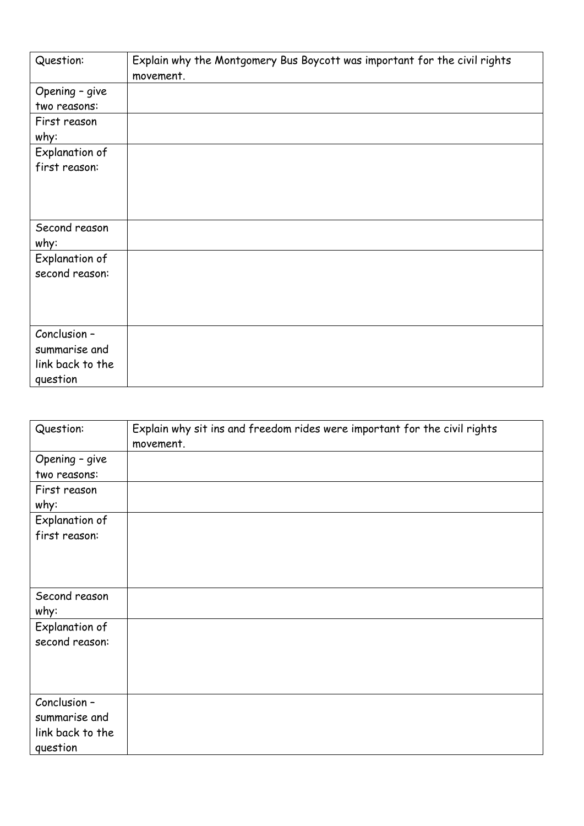| Question:        | Explain why the Montgomery Bus Boycott was important for the civil rights<br>movement. |
|------------------|----------------------------------------------------------------------------------------|
| Opening - give   |                                                                                        |
| two reasons:     |                                                                                        |
| First reason     |                                                                                        |
| why:             |                                                                                        |
| Explanation of   |                                                                                        |
| first reason:    |                                                                                        |
|                  |                                                                                        |
|                  |                                                                                        |
|                  |                                                                                        |
| Second reason    |                                                                                        |
| why:             |                                                                                        |
| Explanation of   |                                                                                        |
| second reason:   |                                                                                        |
|                  |                                                                                        |
|                  |                                                                                        |
|                  |                                                                                        |
| Conclusion -     |                                                                                        |
| summarise and    |                                                                                        |
| link back to the |                                                                                        |
| question         |                                                                                        |

| Question:                                                     | Explain why sit ins and freedom rides were important for the civil rights<br>movement. |
|---------------------------------------------------------------|----------------------------------------------------------------------------------------|
| Opening - give<br>two reasons:                                |                                                                                        |
| First reason<br>why:                                          |                                                                                        |
| Explanation of<br>first reason:                               |                                                                                        |
| Second reason<br>why:                                         |                                                                                        |
| Explanation of<br>second reason:                              |                                                                                        |
| Conclusion -<br>summarise and<br>link back to the<br>question |                                                                                        |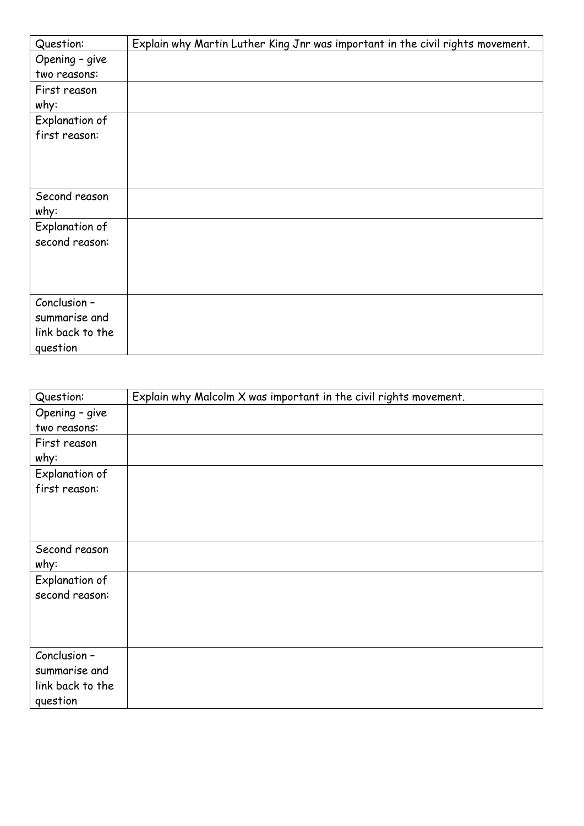| Question:             | Explain why Martin Luther King Jnr was important in the civil rights movement. |
|-----------------------|--------------------------------------------------------------------------------|
| Opening - give        |                                                                                |
| two reasons:          |                                                                                |
| First reason          |                                                                                |
| why:                  |                                                                                |
| Explanation of        |                                                                                |
| first reason:         |                                                                                |
|                       |                                                                                |
|                       |                                                                                |
|                       |                                                                                |
| Second reason         |                                                                                |
| why:                  |                                                                                |
| <b>Explanation of</b> |                                                                                |
| second reason:        |                                                                                |
|                       |                                                                                |
|                       |                                                                                |
|                       |                                                                                |
| Conclusion -          |                                                                                |
| summarise and         |                                                                                |
| link back to the      |                                                                                |
| question              |                                                                                |

| Question:             | Explain why Malcolm X was important in the civil rights movement. |
|-----------------------|-------------------------------------------------------------------|
| Opening - give        |                                                                   |
| two reasons:          |                                                                   |
| First reason          |                                                                   |
| why:                  |                                                                   |
| <b>Explanation of</b> |                                                                   |
| first reason:         |                                                                   |
|                       |                                                                   |
|                       |                                                                   |
|                       |                                                                   |
| Second reason         |                                                                   |
| why:                  |                                                                   |
| Explanation of        |                                                                   |
| second reason:        |                                                                   |
|                       |                                                                   |
|                       |                                                                   |
|                       |                                                                   |
| Conclusion -          |                                                                   |
| summarise and         |                                                                   |
| link back to the      |                                                                   |
| question              |                                                                   |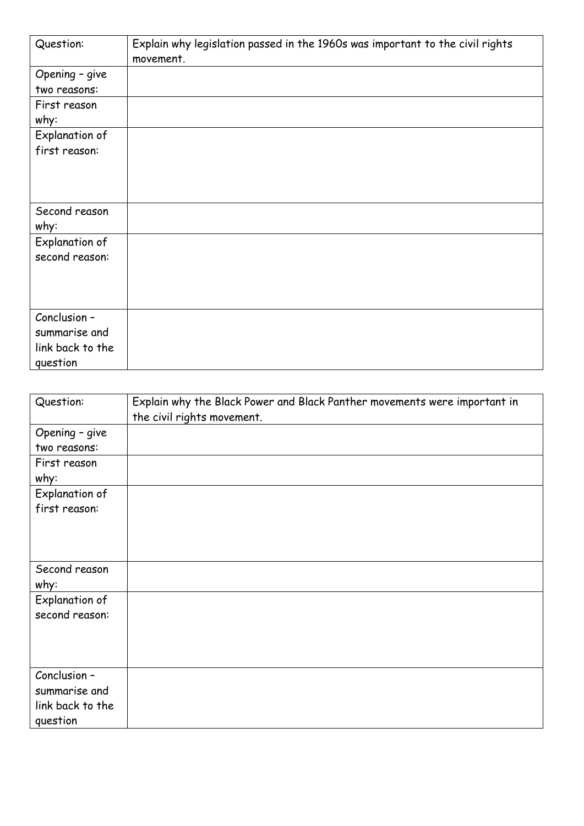| Question:        | Explain why legislation passed in the 1960s was important to the civil rights<br>movement. |
|------------------|--------------------------------------------------------------------------------------------|
| Opening - give   |                                                                                            |
| two reasons:     |                                                                                            |
| First reason     |                                                                                            |
| why:             |                                                                                            |
| Explanation of   |                                                                                            |
| first reason:    |                                                                                            |
|                  |                                                                                            |
|                  |                                                                                            |
|                  |                                                                                            |
| Second reason    |                                                                                            |
| why:             |                                                                                            |
| Explanation of   |                                                                                            |
| second reason:   |                                                                                            |
|                  |                                                                                            |
|                  |                                                                                            |
|                  |                                                                                            |
| Conclusion -     |                                                                                            |
| summarise and    |                                                                                            |
| link back to the |                                                                                            |
| question         |                                                                                            |

| Question:                                                     | Explain why the Black Power and Black Panther movements were important in<br>the civil rights movement. |
|---------------------------------------------------------------|---------------------------------------------------------------------------------------------------------|
| Opening - give<br>two reasons:                                |                                                                                                         |
| First reason<br>why:                                          |                                                                                                         |
| Explanation of<br>first reason:                               |                                                                                                         |
| Second reason<br>why:                                         |                                                                                                         |
| Explanation of<br>second reason:                              |                                                                                                         |
| Conclusion -<br>summarise and<br>link back to the<br>question |                                                                                                         |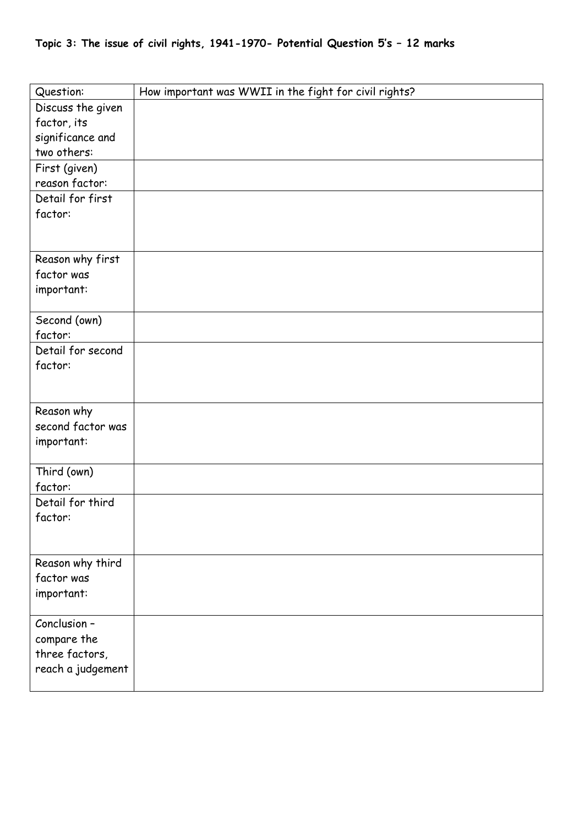| Question:               | How important was WWII in the fight for civil rights? |
|-------------------------|-------------------------------------------------------|
| Discuss the given       |                                                       |
| factor, its             |                                                       |
| significance and        |                                                       |
| two others:             |                                                       |
| First (given)           |                                                       |
| reason factor:          |                                                       |
| Detail for first        |                                                       |
| factor:                 |                                                       |
|                         |                                                       |
|                         |                                                       |
| Reason why first        |                                                       |
| factor was              |                                                       |
| important:              |                                                       |
|                         |                                                       |
| Second (own)<br>factor: |                                                       |
| Detail for second       |                                                       |
| factor:                 |                                                       |
|                         |                                                       |
|                         |                                                       |
| Reason why              |                                                       |
| second factor was       |                                                       |
| important:              |                                                       |
|                         |                                                       |
| Third (own)             |                                                       |
| factor:                 |                                                       |
| Detail for third        |                                                       |
| factor:                 |                                                       |
|                         |                                                       |
|                         |                                                       |
| Reason why third        |                                                       |
| factor was              |                                                       |
| important:              |                                                       |
| Conclusion -            |                                                       |
| compare the             |                                                       |
| three factors,          |                                                       |
| reach a judgement       |                                                       |
|                         |                                                       |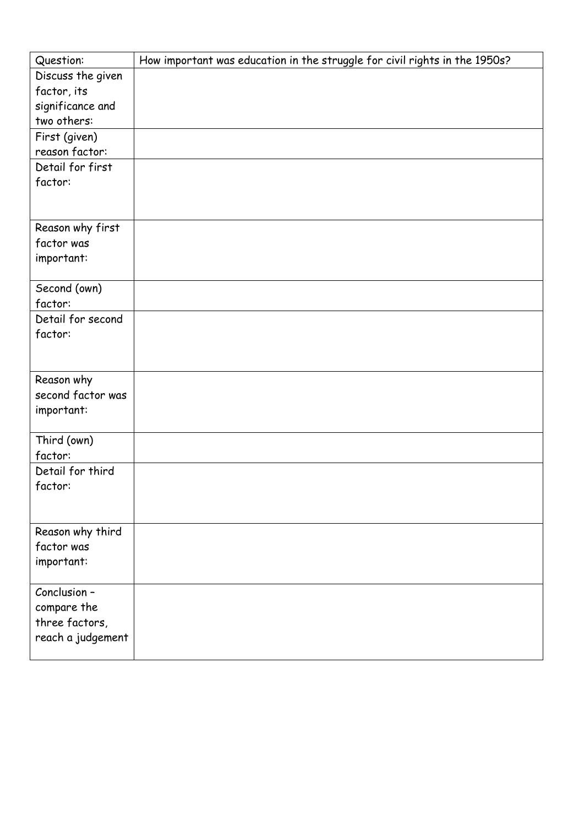| Question:         | How important was education in the struggle for civil rights in the 1950s? |
|-------------------|----------------------------------------------------------------------------|
| Discuss the given |                                                                            |
| factor, its       |                                                                            |
| significance and  |                                                                            |
| two others:       |                                                                            |
| First (given)     |                                                                            |
| reason factor:    |                                                                            |
| Detail for first  |                                                                            |
| factor:           |                                                                            |
|                   |                                                                            |
|                   |                                                                            |
| Reason why first  |                                                                            |
| factor was        |                                                                            |
| important:        |                                                                            |
|                   |                                                                            |
| Second (own)      |                                                                            |
| factor:           |                                                                            |
| Detail for second |                                                                            |
| factor:           |                                                                            |
|                   |                                                                            |
|                   |                                                                            |
| Reason why        |                                                                            |
| second factor was |                                                                            |
| important:        |                                                                            |
| Third (own)       |                                                                            |
| factor:           |                                                                            |
| Detail for third  |                                                                            |
| factor:           |                                                                            |
|                   |                                                                            |
|                   |                                                                            |
| Reason why third  |                                                                            |
| factor was        |                                                                            |
| important:        |                                                                            |
|                   |                                                                            |
| Conclusion -      |                                                                            |
| compare the       |                                                                            |
| three factors,    |                                                                            |
| reach a judgement |                                                                            |
|                   |                                                                            |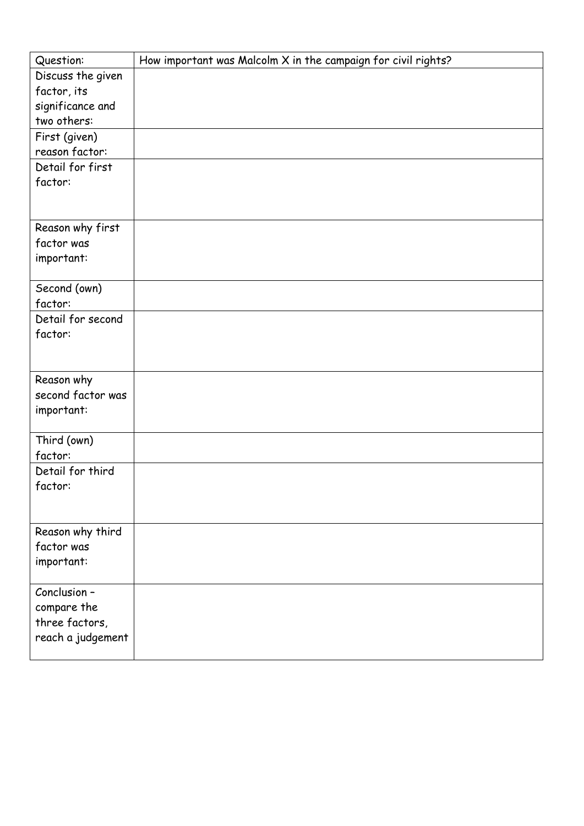| Question:         | How important was Malcolm X in the campaign for civil rights? |
|-------------------|---------------------------------------------------------------|
| Discuss the given |                                                               |
| factor, its       |                                                               |
| significance and  |                                                               |
| two others:       |                                                               |
| First (given)     |                                                               |
| reason factor:    |                                                               |
| Detail for first  |                                                               |
| factor:           |                                                               |
|                   |                                                               |
|                   |                                                               |
| Reason why first  |                                                               |
| factor was        |                                                               |
| important:        |                                                               |
|                   |                                                               |
| Second (own)      |                                                               |
| factor:           |                                                               |
| Detail for second |                                                               |
| factor:           |                                                               |
|                   |                                                               |
|                   |                                                               |
| Reason why        |                                                               |
| second factor was |                                                               |
| important:        |                                                               |
| Third (own)       |                                                               |
| factor:           |                                                               |
| Detail for third  |                                                               |
| factor:           |                                                               |
|                   |                                                               |
|                   |                                                               |
| Reason why third  |                                                               |
| factor was        |                                                               |
| important:        |                                                               |
|                   |                                                               |
| Conclusion -      |                                                               |
| compare the       |                                                               |
| three factors,    |                                                               |
| reach a judgement |                                                               |
|                   |                                                               |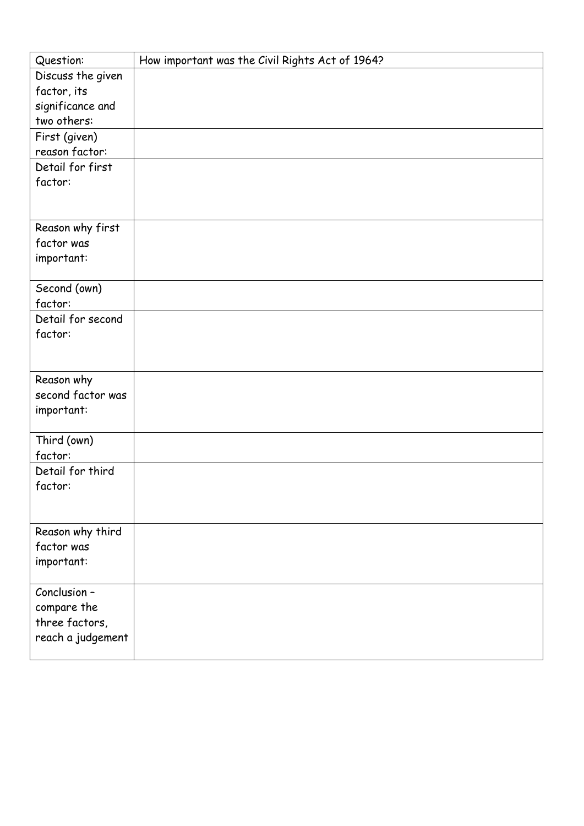| Question:         | How important was the Civil Rights Act of 1964? |
|-------------------|-------------------------------------------------|
| Discuss the given |                                                 |
| factor, its       |                                                 |
| significance and  |                                                 |
| two others:       |                                                 |
| First (given)     |                                                 |
| reason factor:    |                                                 |
| Detail for first  |                                                 |
| factor:           |                                                 |
|                   |                                                 |
|                   |                                                 |
| Reason why first  |                                                 |
| factor was        |                                                 |
| important:        |                                                 |
|                   |                                                 |
| Second (own)      |                                                 |
| factor:           |                                                 |
| Detail for second |                                                 |
| factor:           |                                                 |
|                   |                                                 |
| Reason why        |                                                 |
| second factor was |                                                 |
| important:        |                                                 |
|                   |                                                 |
| Third (own)       |                                                 |
| factor:           |                                                 |
| Detail for third  |                                                 |
| factor:           |                                                 |
|                   |                                                 |
|                   |                                                 |
| Reason why third  |                                                 |
| factor was        |                                                 |
| important:        |                                                 |
|                   |                                                 |
| Conclusion -      |                                                 |
| compare the       |                                                 |
| three factors,    |                                                 |
| reach a judgement |                                                 |
|                   |                                                 |